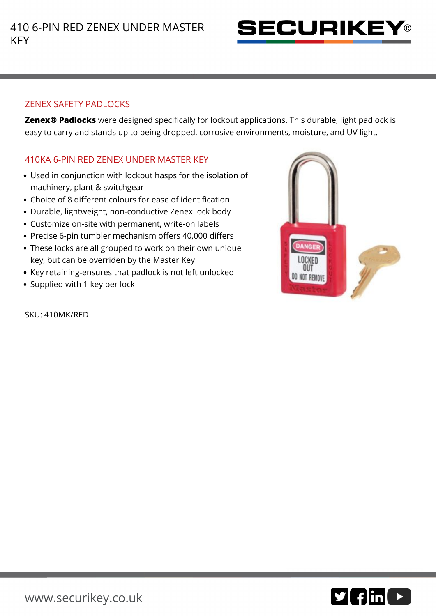

## ZENEX SAFETY PADLOCKS

**Zenex® Padlocks** were designed specifically for lockout applications. This durable, light padlock is easy to carry and stands up to being dropped, corrosive environments, moisture, and UV light.

## 410KA 6-PIN RED ZENEX UNDER MASTER KEY

- Used in conjunction with lockout hasps for the isolation of machinery, plant & switchgear
- Choice of 8 different colours for ease of identification
- Durable, lightweight, non-conductive Zenex lock body
- Customize on-site with permanent, write-on labels
- Precise 6-pin tumbler mechanism offers 40,000 differs
- These locks are all grouped to work on their own unique key, but can be overriden by the Master Key
- Key retaining-ensures that padlock is not left unlocked
- Supplied with 1 key per lock

SKU: 410MK/RED

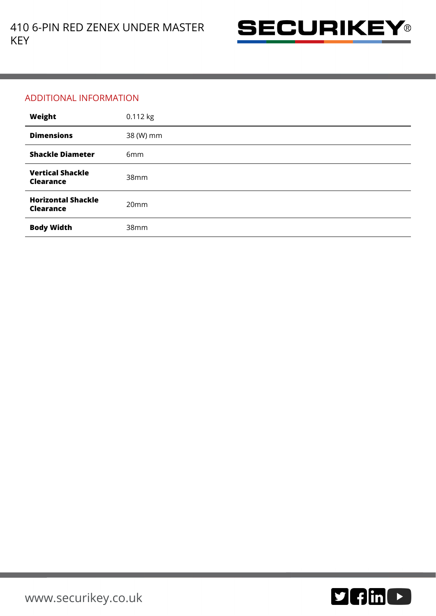

## ADDITIONAL INFORMATION

| Weight                                        | 0.112 kg         |
|-----------------------------------------------|------------------|
| <b>Dimensions</b>                             | 38 (W) mm        |
| <b>Shackle Diameter</b>                       | 6mm              |
| <b>Vertical Shackle</b><br><b>Clearance</b>   | 38mm             |
| <b>Horizontal Shackle</b><br><b>Clearance</b> | 20 <sub>mm</sub> |
| <b>Body Width</b>                             | 38mm             |

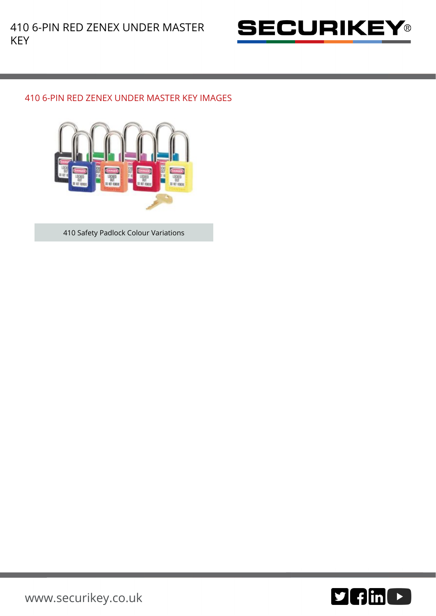

## 410 6-PIN RED ZENEX UNDER MASTER KEY IMAGES



410 Safety Padlock Colour Variations